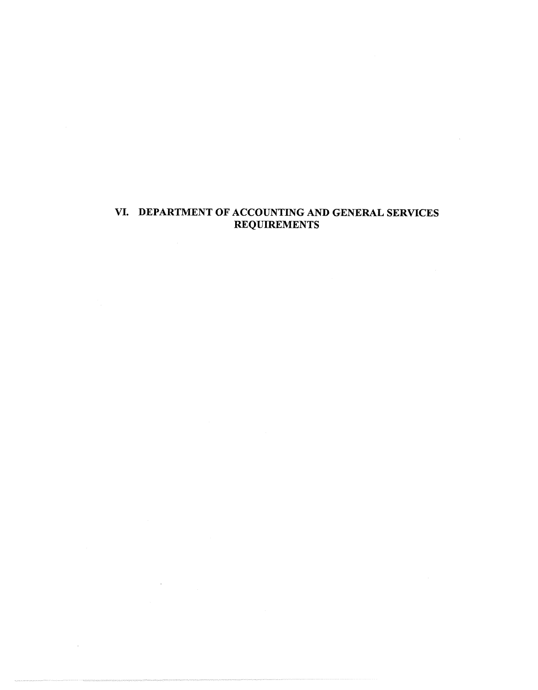# VI. DEPARTMENT OF ACCOUNTING AND GENERAL SERVICES **REQUIREMENTS**

 $\label{eq:2.1} \frac{1}{\sqrt{2}}\sum_{i=1}^n\frac{1}{\sqrt{2}}\sum_{i=1}^n\frac{1}{\sqrt{2}}\sum_{i=1}^n\frac{1}{\sqrt{2}}\sum_{i=1}^n\frac{1}{\sqrt{2}}\sum_{i=1}^n\frac{1}{\sqrt{2}}\sum_{i=1}^n\frac{1}{\sqrt{2}}\sum_{i=1}^n\frac{1}{\sqrt{2}}\sum_{i=1}^n\frac{1}{\sqrt{2}}\sum_{i=1}^n\frac{1}{\sqrt{2}}\sum_{i=1}^n\frac{1}{\sqrt{2}}\sum_{i=1}^n\frac$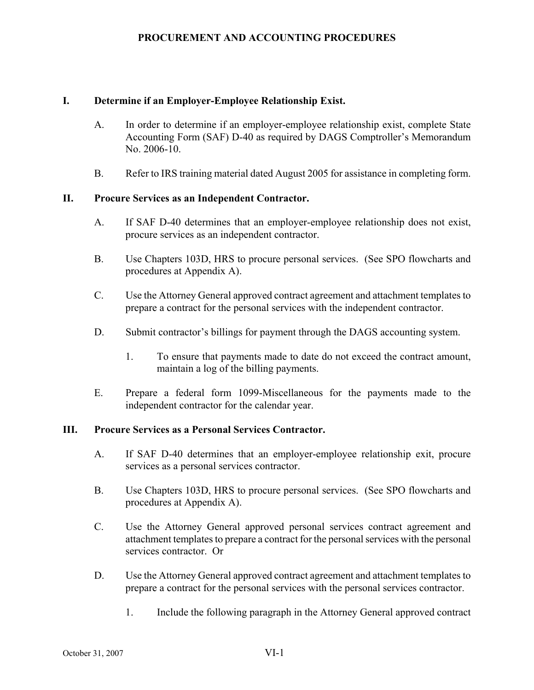## **PROCUREMENT AND ACCOUNTING PROCEDURES**

## **I. Determine if an Employer-Employee Relationship Exist.**

- A. In order to determine if an employer-employee relationship exist, complete State Accounting Form (SAF) D-40 as required by DAGS Comptroller's Memorandum No. 2006-10.
- B. Refer to IRS training material dated August 2005 for assistance in completing form.

#### **II. Procure Services as an Independent Contractor.**

- A. If SAF D-40 determines that an employer-employee relationship does not exist, procure services as an independent contractor.
- B. Use Chapters 103D, HRS to procure personal services. (See SPO flowcharts and procedures at Appendix A).
- C. Use the Attorney General approved contract agreement and attachment templates to prepare a contract for the personal services with the independent contractor.
- D. Submit contractor's billings for payment through the DAGS accounting system.
	- 1. To ensure that payments made to date do not exceed the contract amount, maintain a log of the billing payments.
- E. Prepare a federal form 1099-Miscellaneous for the payments made to the independent contractor for the calendar year.

#### **III. Procure Services as a Personal Services Contractor.**

- A. If SAF D-40 determines that an employer-employee relationship exit, procure services as a personal services contractor.
- B. Use Chapters 103D, HRS to procure personal services. (See SPO flowcharts and procedures at Appendix A).
- C. Use the Attorney General approved personal services contract agreement and attachment templates to prepare a contract for the personal services with the personal services contractor. Or
- D. Use the Attorney General approved contract agreement and attachment templates to prepare a contract for the personal services with the personal services contractor.
	- 1. Include the following paragraph in the Attorney General approved contract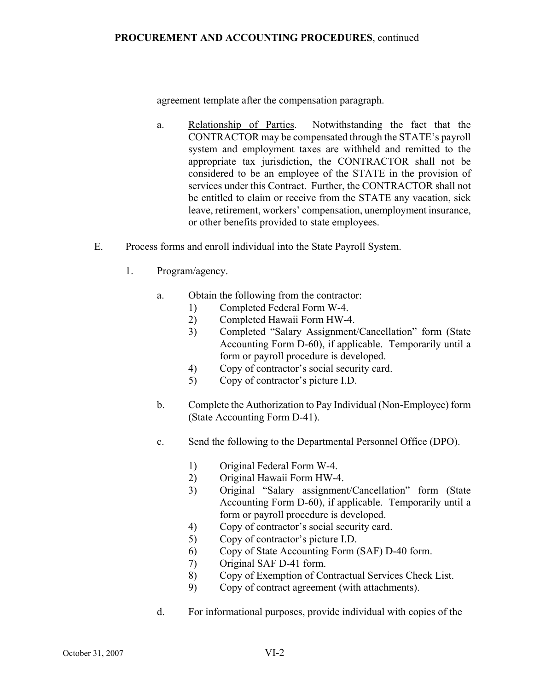## **PROCUREMENT AND ACCOUNTING PROCEDURES**, continued

agreement template after the compensation paragraph.

- a. Relationship of Parties. Notwithstanding the fact that the CONTRACTOR may be compensated through the STATE's payroll system and employment taxes are withheld and remitted to the appropriate tax jurisdiction, the CONTRACTOR shall not be considered to be an employee of the STATE in the provision of services under this Contract. Further, the CONTRACTOR shall not be entitled to claim or receive from the STATE any vacation, sick leave, retirement, workers' compensation, unemployment insurance, or other benefits provided to state employees.
- E. Process forms and enroll individual into the State Payroll System.
	- 1. Program/agency.
		- a. Obtain the following from the contractor:
			- 1) Completed Federal Form W-4.
			- 2) Completed Hawaii Form HW-4.
			- 3) Completed "Salary Assignment/Cancellation" form (State Accounting Form D-60), if applicable. Temporarily until a form or payroll procedure is developed.
			- 4) Copy of contractor's social security card.
			- 5) Copy of contractor's picture I.D.
		- b. Complete the Authorization to Pay Individual (Non-Employee) form (State Accounting Form D-41).
		- c. Send the following to the Departmental Personnel Office (DPO).
			- 1) Original Federal Form W-4.
			- 2) Original Hawaii Form HW-4.
			- 3) Original "Salary assignment/Cancellation" form (State Accounting Form D-60), if applicable. Temporarily until a form or payroll procedure is developed.
			- 4) Copy of contractor's social security card.
			- 5) Copy of contractor's picture I.D.
			- 6) Copy of State Accounting Form (SAF) D-40 form.
			- 7) Original SAF D-41 form.
			- 8) Copy of Exemption of Contractual Services Check List.
			- 9) Copy of contract agreement (with attachments).
		- d. For informational purposes, provide individual with copies of the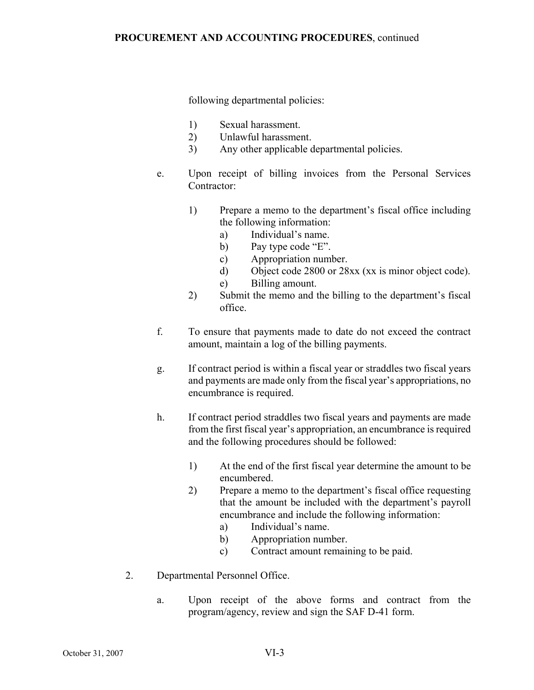### **PROCUREMENT AND ACCOUNTING PROCEDURES**, continued

following departmental policies:

- 1) Sexual harassment.
- 2) Unlawful harassment.
- 3) Any other applicable departmental policies.
- e. Upon receipt of billing invoices from the Personal Services Contractor:
	- 1) Prepare a memo to the department's fiscal office including the following information:
		- a) Individual's name.
		- b) Pay type code "E".
		- c) Appropriation number.
		- d) Object code 2800 or 28xx (xx is minor object code).
		- e) Billing amount.
	- 2) Submit the memo and the billing to the department's fiscal office.
- f. To ensure that payments made to date do not exceed the contract amount, maintain a log of the billing payments.
- g. If contract period is within a fiscal year or straddles two fiscal years and payments are made only from the fiscal year's appropriations, no encumbrance is required.
- h. If contract period straddles two fiscal years and payments are made from the first fiscal year's appropriation, an encumbrance is required and the following procedures should be followed:
	- 1) At the end of the first fiscal year determine the amount to be encumbered.
	- 2) Prepare a memo to the department's fiscal office requesting that the amount be included with the department's payroll encumbrance and include the following information:
		- a) Individual's name.
		- b) Appropriation number.
		- c) Contract amount remaining to be paid.
- 2. Departmental Personnel Office.
	- a. Upon receipt of the above forms and contract from the program/agency, review and sign the SAF D-41 form.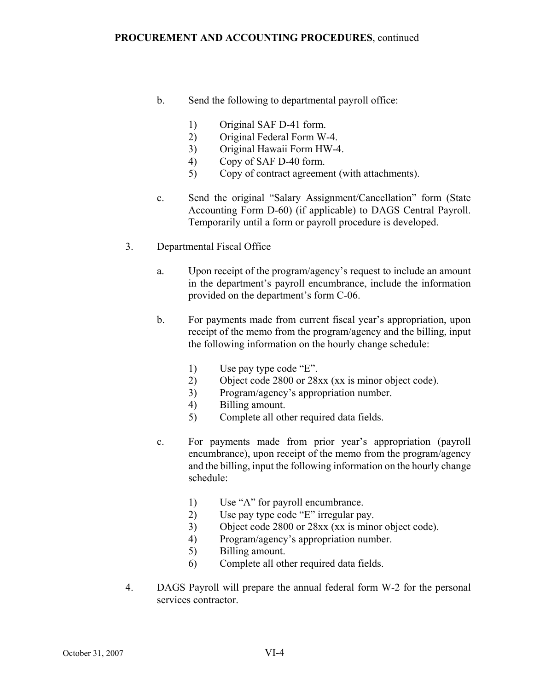- b. Send the following to departmental payroll office:
	- 1) Original SAF D-41 form.
	- 2) Original Federal Form W-4.
	- 3) Original Hawaii Form HW-4.
	- 4) Copy of SAF D-40 form.
	- 5) Copy of contract agreement (with attachments).
- c. Send the original "Salary Assignment/Cancellation" form (State Accounting Form D-60) (if applicable) to DAGS Central Payroll. Temporarily until a form or payroll procedure is developed.
- 3. Departmental Fiscal Office
	- a. Upon receipt of the program/agency's request to include an amount in the department's payroll encumbrance, include the information provided on the department's form C-06.
	- b. For payments made from current fiscal year's appropriation, upon receipt of the memo from the program/agency and the billing, input the following information on the hourly change schedule:
		- 1) Use pay type code "E".
		- 2) Object code 2800 or 28xx (xx is minor object code).
		- 3) Program/agency's appropriation number.
		- 4) Billing amount.
		- 5) Complete all other required data fields.
	- c. For payments made from prior year's appropriation (payroll encumbrance), upon receipt of the memo from the program/agency and the billing, input the following information on the hourly change schedule:
		- 1) Use "A" for payroll encumbrance.
		- 2) Use pay type code "E" irregular pay.
		- 3) Object code 2800 or 28xx (xx is minor object code).
		- 4) Program/agency's appropriation number.
		- 5) Billing amount.
		- 6) Complete all other required data fields.
- 4. DAGS Payroll will prepare the annual federal form W-2 for the personal services contractor.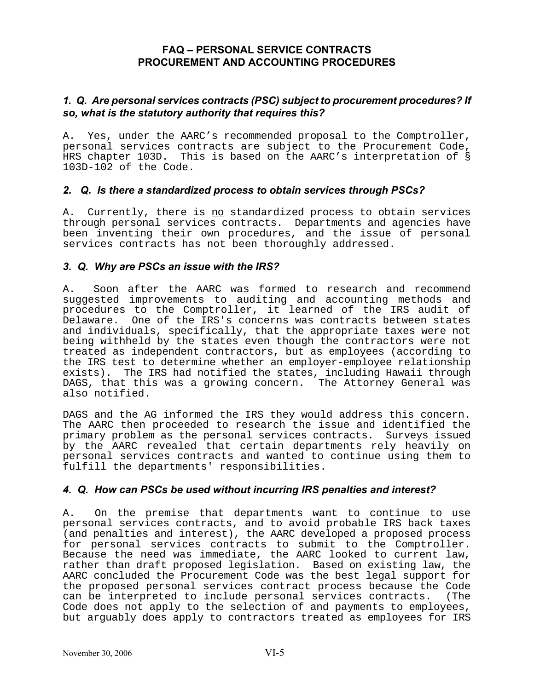## **FAQ – PERSONAL SERVICE CONTRACTS PROCUREMENT AND ACCOUNTING PROCEDURES**

## *1. Q. Are personal services contracts (PSC) subject to procurement procedures? If so, what is the statutory authority that requires this?*

A. Yes, under the AARC's recommended proposal to the Comptroller, personal services contracts are subject to the Procurement Code, HRS chapter 103D. This is based on the AARC's interpretation of § 103D-102 of the Code.

#### *2. Q. Is there a standardized process to obtain services through PSCs?*

A. Currently, there is no standardized process to obtain services through personal services contracts. Departments and agencies have been inventing their own procedures, and the issue of personal services contracts has not been thoroughly addressed.

#### *3. Q. Why are PSCs an issue with the IRS?*

A. Soon after the AARC was formed to research and recommend suggested improvements to auditing and accounting methods and procedures to the Comptroller, it learned of the IRS audit of Delaware. One of the IRS's concerns was contracts between states and individuals, specifically, that the appropriate taxes were not being withheld by the states even though the contractors were not treated as independent contractors, but as employees (according to the IRS test to determine whether an employer-employee relationship exists). The IRS had notified the states, including Hawaii through DAGS, that this was a growing concern. The Attorney General was also notified.

DAGS and the AG informed the IRS they would address this concern. The AARC then proceeded to research the issue and identified the primary problem as the personal services contracts. Surveys issued by the AARC revealed that certain departments rely heavily on personal services contracts and wanted to continue using them to fulfill the departments' responsibilities.

#### *4. Q. How can PSCs be used without incurring IRS penalties and interest?*

On the premise that departments want to continue to use personal services contracts, and to avoid probable IRS back taxes (and penalties and interest), the AARC developed a proposed process for personal services contracts to submit to the Comptroller. Because the need was immediate, the AARC looked to current law, rather than draft proposed legislation. Based on existing law, the AARC concluded the Procurement Code was the best legal support for the proposed personal services contract process because the Code can be interpreted to include personal services contracts. (The Code does not apply to the selection of and payments to employees, but arguably does apply to contractors treated as employees for IRS